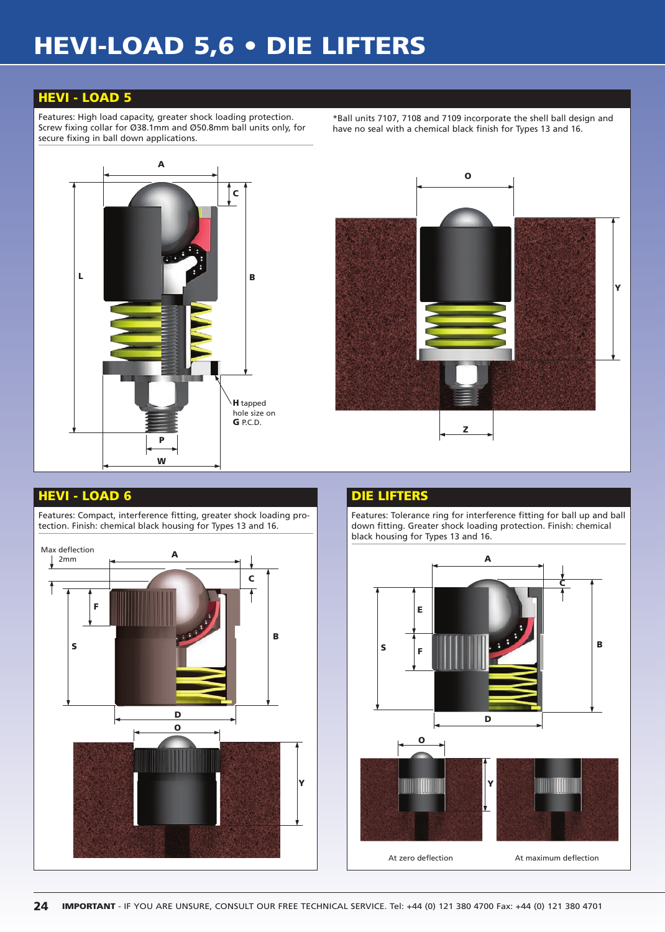## **HEVI-LOAD 5,6 • DIE LIFTERS**

## **HEVI - LOAD 5**

Features: High load capacity, greater shock loading protection. Screw fixing collar for Ø38.1mm and Ø50.8mm ball units only, for secure fixing in ball down applications.

\*Ball units 7107, 7108 and 7109 incorporate the shell ball design and have no seal with a chemical black finish for Types 13 and 16.





## **HEVI - LOAD 6 DIE LIFTERS**

Features: Compact, interference fitting, greater shock loading protection. Finish: chemical black housing for Types 13 and 16.



Features: Tolerance ring for interference fitting for ball up and ball down fitting. Greater shock loading protection. Finish: chemical black housing for Types 13 and 16.